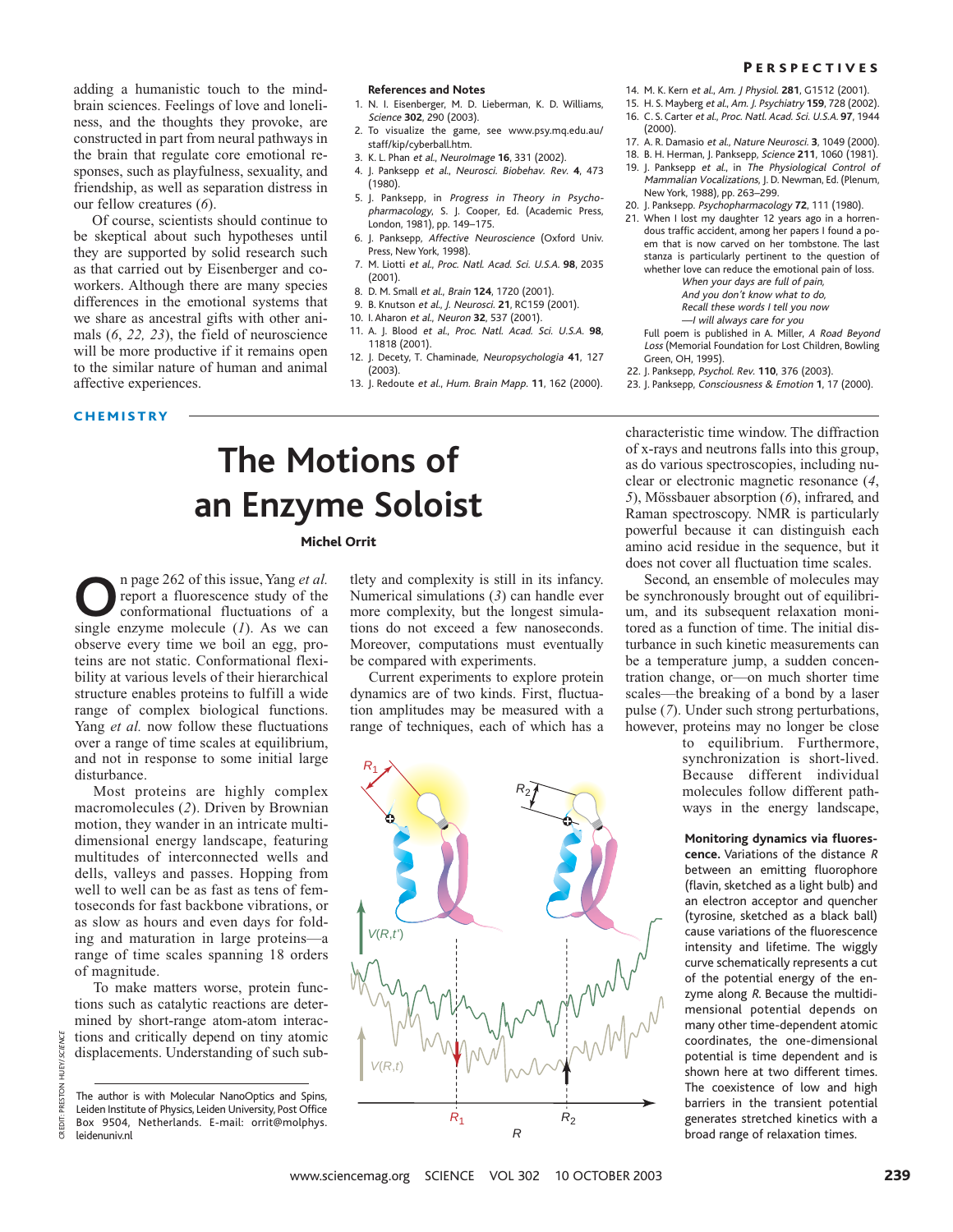adding a humanistic touch to the mindbrain sciences. Feelings of love and loneliness, and the thoughts they provoke, are constructed in part from neural pathways in the brain that regulate core emotional responses, such as playfulness, sexuality, and friendship, as well as separation distress in our fellow creatures (*6*).

Of course, scientists should continue to be skeptical about such hypotheses until they are supported by solid research such as that carried out by Eisenberger and coworkers. Although there are many species differences in the emotional systems that we share as ancestral gifts with other animals (*6*, *22, 23*), the field of neuroscience will be more productive if it remains open to the similar nature of human and animal affective experiences.

#### **CHEMISTRY**

#### **References and Notes**

- 1. N. I. Eisenberger, M. D. Lieberman, K. D. Williams, Science **302**, 290 (2003).
- 2. To visualize the game, see www.psy.mq.edu.au/ staff/kip/cyberball.htm.
- 3. K. L. Phan et al., NeuroImage **16**, 331 (2002).
- 4. J. Panksepp et al., Neurosci. Biobehav. Rev. **4**, 473 (1980).
- 5. J. Panksepp, in Progress in Theory in Psychopharmacology, S. J. Cooper, Ed. (Academic Press, London, 1981), pp. 149–175.
- 6. J. Panksepp, Affective Neuroscience (Oxford Univ. Press, New York, 1998).
- 7. M. Liotti et al., Proc. Natl. Acad. Sci. U.S.A. **98**, 2035 (2001).
- 8. D. M. Small et al., Brain **124**, 1720 (2001).
- 9. B. Knutson et al., J. Neurosci. **21**, RC159 (2001).
- 10. I. Aharon et al., Neuron **32**, 537 (2001).
- 11. A. J. Blood et al., Proc. Natl. Acad. Sci. U.S.A. **98**, 11818 (2001).
- 12. J. Decety, T. Chaminade, Neuropsychologia **41**, 127 (2003).
- 13. J. Redoute et al., Hum. Brain Mapp. **11**, 162 (2000).

# **The Motions of an Enzyme Soloist**

### Michel Orrit

**O**n page 262 of this issue, Yang *et al.* report a fluorescence study of the conformational fluctuations of a single enzyme molecule (*1*). As we can observe every time we boil an egg, proteins are not static. Conformational flexibility at various levels of their hierarchical structure enables proteins to fulfill a wide range of complex biological functions. Yang *et al.* now follow these fluctuations over a range of time scales at equilibrium, and not in response to some initial large disturbance.

Most proteins are highly complex macromolecules (*2*). Driven by Brownian motion, they wander in an intricate multidimensional energy landscape, featuring multitudes of interconnected wells and dells, valleys and passes. Hopping from well to well can be as fast as tens of femtoseconds for fast backbone vibrations, or as slow as hours and even days for folding and maturation in large proteins—a range of time scales spanning 18 orders of magnitude.

To make matters worse, protein functions such as catalytic reactions are determined by short-range atom-atom interactions and critically depend on tiny atomic displacements. Understanding of such sub-

CREDIT: PRESTON HUEY/SCIENCE

PRESTON CREDIT

**HUEY/SCIENCE** 

tlety and complexity is still in its infancy. Numerical simulations (*3*) can handle ever more complexity, but the longest simulations do not exceed a few nanoseconds. Moreover, computations must eventually be compared with experiments.

Current experiments to explore protein dynamics are of two kinds. First, fluctuation amplitudes may be measured with a range of techniques, each of which has a



Mammalian Vocalizations, J. D. Newman, Ed. (Plenum, New York, 1988), pp. 263–299. 20. J. Panksepp. Psychopharmacology **72**, 111 (1980). 21. When I lost my daughter 12 years ago in a horren-

14. M. K. Kern et al., Am. J Physiol. **281**, G1512 (2001). 15. H. S. Mayberg et al., Am. J. Psychiatry **159**, 728 (2002). 16. C. S. Carter et al., Proc. Natl. Acad. Sci. U.S.A. **97**, 1944

17. A. R. Damasio et al., Nature Neurosci. **3**, 1049 (2000). 18. B. H. Herman, J. Panksepp, Science **211**, 1060 (1981). 19. J. Panksepp et al., in The Physiological Control of

(2000).

dous traffic accident, among her papers I found a poem that is now carved on her tombstone. The last stanza is particularly pertinent to the question of whether love can reduce the emotional pain of loss.

When your days are full of pain,

And you don't know what to do,

Recall these words I tell you now —I will always care for you

- Full poem is published in A. Miller, A Road Beyond Loss (Memorial Foundation for Lost Children, Bowling
- Green, OH, 1995).
- 22. J. Panksepp, Psychol. Rev. **110**, 376 (2003).
- 23. J. Panksepp, Consciousness & Emotion **1**, 17 (2000).

characteristic time window. The diffraction of x-rays and neutrons falls into this group, as do various spectroscopies, including nuclear or electronic magnetic resonance (*4*, *5*), Mössbauer absorption (*6*), infrared, and Raman spectroscopy. NMR is particularly powerful because it can distinguish each amino acid residue in the sequence, but it does not cover all fluctuation time scales.

Second, an ensemble of molecules may be synchronously brought out of equilibrium, and its subsequent relaxation monitored as a function of time. The initial disturbance in such kinetic measurements can be a temperature jump, a sudden concentration change, or—on much shorter time scales—the breaking of a bond by a laser pulse (*7*). Under such strong perturbations, however, proteins may no longer be close

to equilibrium. Furthermore, synchronization is short-lived. Because different individual molecules follow different pathways in the energy landscape,

#### **Monitoring dynamics via fluores-**

**cence.** Variations of the distance <sup>R</sup> between an emitting fluorophore (flavin, sketched as a light bulb) and an electron acceptor and quencher (tyrosine, sketched as a black ball) cause variations of the fluorescence intensity and lifetime. The wiggly curve schematically represents a cut of the potential energy of the enzyme along R. Because the multidimensional potential depends on many other time-dependent atomic coordinates, the one-dimensional potential is time dependent and is shown here at two different times. The coexistence of low and high barriers in the transient potential generates stretched kinetics with a broad range of relaxation times.

www.sciencemag.org SCIENCE VOL 302 10 OCTOBER 2003

The author is with Molecular NanoOptics and Spins, Leiden Institute of Physics, Leiden University, Post Office Box 9504, Netherlands. E-mail: orrit@molphys. leidenuniv.nl